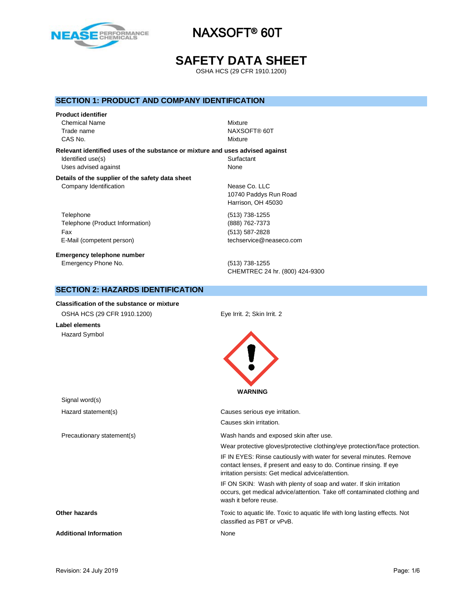

## **SAFETY DATA SHEET**

OSHA HCS (29 CFR 1910.1200)

## **SECTION 1: PRODUCT AND COMPANY IDENTIFICATION**

#### **Product identifier**

Chemical Name Mixture CAS No. **Mixture** 

Trade name NAXSOFT® 60T

**Relevant identified uses of the substance or mixture and uses advised against** Identified use(s) Surfactant Uses advised against None

#### **Details of the supplier of the safety data sheet** Company Identification **Nease Co. LLC**

**SECTION 2: HAZARDS IDENTIFICATION**

Telephone (513) 738-1255 Telephone (Product Information) (888) 762-7373 Fax (513) 587-2828 E-Mail (competent person) techservice@neaseco.com

**Emergency telephone number** Emergency Phone No. (513) 738-1255

10740 Paddys Run Road Harrison, OH 45030

CHEMTREC 24 hr. (800) 424-9300

| <b>Classification of the substance or mixture</b> |                                                                                                                                                                                                  |
|---------------------------------------------------|--------------------------------------------------------------------------------------------------------------------------------------------------------------------------------------------------|
| OSHA HCS (29 CFR 1910.1200)                       | Eye Irrit. 2; Skin Irrit. 2                                                                                                                                                                      |
| <b>Label elements</b>                             |                                                                                                                                                                                                  |
| Hazard Symbol                                     |                                                                                                                                                                                                  |
| Signal word(s)                                    | <b>WARNING</b>                                                                                                                                                                                   |
| Hazard statement(s)                               | Causes serious eye irritation.                                                                                                                                                                   |
|                                                   | Causes skin irritation.                                                                                                                                                                          |
| Precautionary statement(s)                        | Wash hands and exposed skin after use.                                                                                                                                                           |
|                                                   | Wear protective gloves/protective clothing/eye protection/face protection.                                                                                                                       |
|                                                   | IF IN EYES: Rinse cautiously with water for several minutes. Remove<br>contact lenses, if present and easy to do. Continue rinsing. If eye<br>irritation persists: Get medical advice/attention. |
|                                                   | IF ON SKIN: Wash with plenty of soap and water. If skin irritation<br>occurs, get medical advice/attention. Take off contaminated clothing and<br>wash it before reuse.                          |
| Other hazards                                     | Toxic to aquatic life. Toxic to aquatic life with long lasting effects. Not<br>classified as PBT or vPvB.                                                                                        |
| <b>Additional Information</b>                     | None                                                                                                                                                                                             |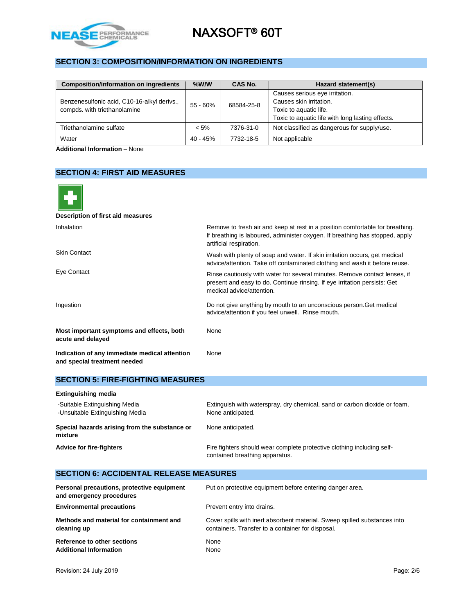

## **SECTION 3: COMPOSITION/INFORMATION ON INGREDIENTS**

| <b>Composition/information on ingredients</b> | $%$ W/W    | CAS No.    | Hazard statement(s)                                       |
|-----------------------------------------------|------------|------------|-----------------------------------------------------------|
| Benzenesulfonic acid, C10-16-alkyl derivs.,   |            |            | Causes serious eye irritation.<br>Causes skin irritation. |
| compds. with triethanolamine                  | $55 - 60%$ | 68584-25-8 | Toxic to aquatic life.                                    |
|                                               |            |            | Toxic to aquatic life with long lasting effects.          |
| Triethanolamine sulfate                       | $< 5\%$    | 7376-31-0  | Not classified as dangerous for supply/use.               |
| Water                                         | 40 - 45%   | 7732-18-5  | Not applicable                                            |

**Additional Information** – None

## **SECTION 4: FIRST AID MEASURES**

| Description of first aid measures                                             |                                                                                                                                                                                          |
|-------------------------------------------------------------------------------|------------------------------------------------------------------------------------------------------------------------------------------------------------------------------------------|
| Inhalation                                                                    | Remove to fresh air and keep at rest in a position comfortable for breathing.<br>If breathing is laboured, administer oxygen. If breathing has stopped, apply<br>artificial respiration. |
| <b>Skin Contact</b>                                                           | Wash with plenty of soap and water. If skin irritation occurs, get medical<br>advice/attention. Take off contaminated clothing and wash it before reuse.                                 |
| Eye Contact                                                                   | Rinse cautiously with water for several minutes. Remove contact lenses, if<br>present and easy to do. Continue rinsing. If eye irritation persists: Get<br>medical advice/attention.     |
| Ingestion                                                                     | Do not give anything by mouth to an unconscious person. Get medical<br>advice/attention if you feel unwell. Rinse mouth.                                                                 |
| Most important symptoms and effects, both<br>acute and delayed                | None                                                                                                                                                                                     |
| Indication of any immediate medical attention<br>and special treatment needed | None                                                                                                                                                                                     |

### **SECTION 5: FIRE-FIGHTING MEASURES**

| <b>Extinguishing media</b>                                       |                                                                                                          |
|------------------------------------------------------------------|----------------------------------------------------------------------------------------------------------|
| -Suitable Extinguishing Media<br>-Unsuitable Extinguishing Media | Extinguish with waterspray, dry chemical, sand or carbon dioxide or foam.<br>None anticipated.           |
| Special hazards arising from the substance or<br>mixture         | None anticipated.                                                                                        |
| <b>Advice for fire-fighters</b>                                  | Fire fighters should wear complete protective clothing including self-<br>contained breathing apparatus. |

### **SECTION 6: ACCIDENTAL RELEASE MEASURES**

| Personal precautions, protective equipment<br>and emergency procedures | Put on protective equipment before entering danger area.                  |
|------------------------------------------------------------------------|---------------------------------------------------------------------------|
| <b>Environmental precautions</b>                                       | Prevent entry into drains.                                                |
| Methods and material for containment and                               | Cover spills with inert absorbent material. Sweep spilled substances into |
| cleaning up                                                            | containers. Transfer to a container for disposal.                         |
| Reference to other sections                                            | None                                                                      |
| <b>Additional Information</b>                                          | None                                                                      |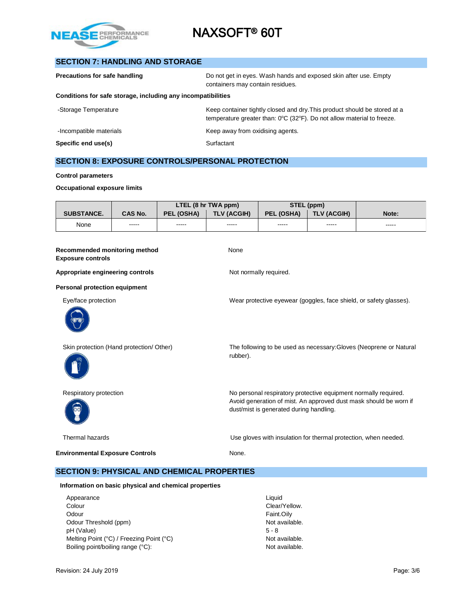

## **SECTION 7: HANDLING AND STORAGE**

| Precautions for safe handling                                | Do not get in eyes. Wash hands and exposed skin after use. Empty<br>containers may contain residues.                                                                     |
|--------------------------------------------------------------|--------------------------------------------------------------------------------------------------------------------------------------------------------------------------|
| Conditions for safe storage, including any incompatibilities |                                                                                                                                                                          |
| -Storage Temperature                                         | Keep container tightly closed and dry. This product should be stored at a<br>temperature greater than: $0^{\circ}$ C (32 $^{\circ}$ F). Do not allow material to freeze. |
| -Incompatible materials                                      | Keep away from oxidising agents.                                                                                                                                         |
| Specific end use(s)                                          | Surfactant                                                                                                                                                               |

## **SECTION 8: EXPOSURE CONTROLS/PERSONAL PROTECTION**

#### **Control parameters**

#### **Occupational exposure limits**

|                                                           |                |            | LTEL (8 hr TWA ppm) | STEL (ppm)                              |                                                                 |                                                                    |  |
|-----------------------------------------------------------|----------------|------------|---------------------|-----------------------------------------|-----------------------------------------------------------------|--------------------------------------------------------------------|--|
| <b>SUBSTANCE.</b>                                         | <b>CAS No.</b> | PEL (OSHA) | <b>TLV (ACGIH)</b>  | PEL (OSHA)                              | <b>TLV (ACGIH)</b>                                              | Note:                                                              |  |
| None                                                      | -----          | -----      | -----               | -----                                   | -----                                                           | -----                                                              |  |
| Recommended monitoring method<br><b>Exposure controls</b> |                |            | None                |                                         |                                                                 |                                                                    |  |
| Appropriate engineering controls                          |                |            |                     | Not normally required.                  |                                                                 |                                                                    |  |
| Personal protection equipment                             |                |            |                     |                                         |                                                                 |                                                                    |  |
| Eye/face protection                                       |                |            |                     |                                         |                                                                 | Wear protective eyewear (goggles, face shield, or safety glasses). |  |
|                                                           |                |            |                     |                                         |                                                                 |                                                                    |  |
| Skin protection (Hand protection/ Other)                  |                |            | rubber).            |                                         |                                                                 | The following to be used as necessary: Gloves (Neoprene or Natural |  |
| Respiratory protection                                    |                |            |                     | dust/mist is generated during handling. | No personal respiratory protective equipment normally required. | Avoid generation of mist. An approved dust mask should be worn if  |  |
| Thermal hazards                                           |                |            |                     |                                         | Use gloves with insulation for thermal protection, when needed. |                                                                    |  |
| <b>Environmental Exposure Controls</b>                    |                |            | None.               |                                         |                                                                 |                                                                    |  |

### **SECTION 9: PHYSICAL AND CHEMICAL PROPERTIES**

#### **Information on basic physical and chemical properties**

| Appearance                               | Liquid  |
|------------------------------------------|---------|
| Colour                                   | Clear/  |
| Odour                                    | Faint.  |
| Odour Threshold (ppm)                    | Not ay  |
| pH (Value)                               | $5 - 8$ |
| Melting Point (°C) / Freezing Point (°C) | Not ay  |
| Boiling point/boiling range (°C):        | Not ay  |

Clear/Yellow. Faint.Oily Not available.<br>5 - 8 Not available. Not available.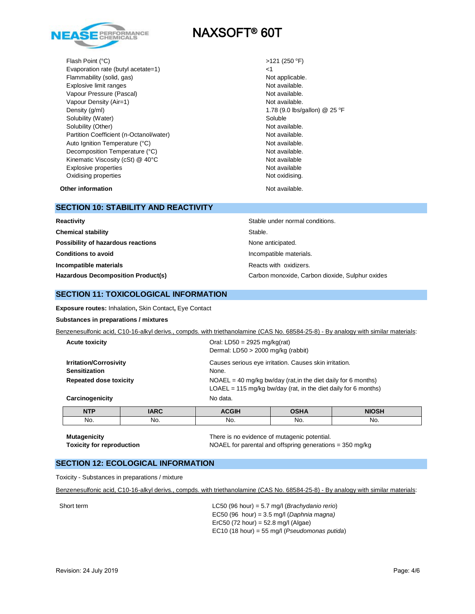

Flash Point (°C) Evaporation rate (butyl acetate=1) <1 Flammability (solid, gas) Not applicable. Explosive limit ranges Not available. Vapour Pressure (Pascal) Not available. Vapour Density (Air=1) Not available. Density (g/ml) 25 °F Solubility (Water) Soluble Solubility (Other) Not available. Partition Coefficient (n-Octanol/water) Not available. Auto Ignition Temperature (°C) and the control of the Not available. Decomposition Temperature (°C) Not available. Kinematic Viscosity (cSt) @ 40°C Not available Not available Explosive properties **Not available** Not available Oxidising properties Not oxidising.

 $>121$  (250 °F)

**Other information** Not available.

#### **SECTION 10: STABILITY AND REACTIVITY**

| Reactivity                                | Stable under normal conditions.                 |
|-------------------------------------------|-------------------------------------------------|
| <b>Chemical stability</b>                 | Stable.                                         |
| Possibility of hazardous reactions        | None anticipated.                               |
| <b>Conditions to avoid</b>                | Incompatible materials.                         |
| Incompatible materials                    | Reacts with oxidizers.                          |
| <b>Hazardous Decomposition Product(s)</b> | Carbon monoxide, Carbon dioxide, Sulphur oxides |

### **SECTION 11: TOXICOLOGICAL INFORMATION**

**Exposure routes:** Inhalation**,** Skin Contact**,** Eye Contact

#### **Substances in preparations / mixtures**

Benzenesulfonic acid, C10-16-alkyl derivs., compds. with triethanolamine (CAS No. 68584-25-8) - By analogy with similar materials:

| <b>Acute toxicity</b>                                                                  |             | Oral: $LD50 = 2925$ mg/kg(rat)<br>Dermal: $LD50 > 2000$ mg/kg (rabbit)                                                                                                                                 |             |              |
|----------------------------------------------------------------------------------------|-------------|--------------------------------------------------------------------------------------------------------------------------------------------------------------------------------------------------------|-------------|--------------|
| <b>Irritation/Corrosivity</b><br><b>Sensitization</b><br><b>Repeated dose toxicity</b> |             | Causes serious eye irritation. Causes skin irritation.<br>None.<br>$NOAEL = 40$ mg/kg bw/day (rat, in the diet daily for 6 months)<br>$LOAEL = 115$ mg/kg bw/day (rat, in the diet daily for 6 months) |             |              |
| No data.<br>Carcinogenicity                                                            |             |                                                                                                                                                                                                        |             |              |
| <b>NTP</b>                                                                             | <b>IARC</b> | <b>ACGIH</b>                                                                                                                                                                                           | <b>OSHA</b> | <b>NIOSH</b> |
| No.                                                                                    | No.         | No.                                                                                                                                                                                                    | No.         | No.          |

**Mutagenicity** There is no evidence of mutagenic potential. **Toxicity for reproduction** NOAEL for parental and offspring generations = 350 mg/kg

### **SECTION 12: ECOLOGICAL INFORMATION**

Toxicity - Substances in preparations / mixture

Benzenesulfonic acid, C10-16-alkyl derivs., compds. with triethanolamine (CAS No. 68584-25-8) - By analogy with similar materials:

Short term LC50 (96 hour) = 5.7 mg/l (*Brachydanio rerio*) EC50 (96 hour) = 3.5 mg/l (*Daphnia magna)* ErC50 (72 hour) = 52.8 mg/l (Algae) EC10 (18 hour) = 55 mg/l (*Pseudomonas putida*)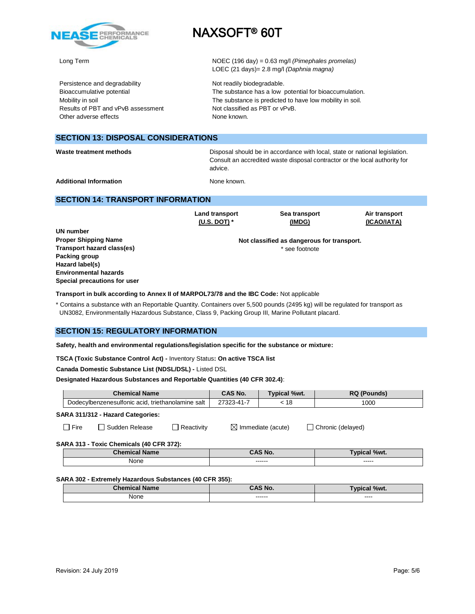

Persistence and degradability Not readily biodegradable. Results of PBT and vPvB assessment Not classified as PBT or vPvB. Other adverse effects None known.

# NAXSOFT® 60T

Long Term NOEC (196 day) = 0.63 mg/l *(Pimephales promelas)* LOEC (21 days)= 2.8 mg/l *(Daphnia magna)*

Bioaccumulative potential The substance has a low potential for bioaccumulation. Mobility in soil **Mobility** in soil. The substance is predicted to have low mobility in soil.

### **SECTION 13: DISPOSAL CONSIDERATIONS**

**Waste treatment methods** Disposal should be in accordance with local, state or national legislation. Consult an accredited waste disposal contractor or the local authority for advice.

**Additional Information** None known.

**Land transport (U.S. DOT) \***

#### **SECTION 14: TRANSPORT INFORMATION**

**UN number Proper Shipping Name Transport hazard class(es) Packing group Hazard label(s) Environmental hazards Special precautions for user**

**Not classified as dangerous for transport.** \* see footnote

**Sea transport (IMDG)**

**Air transport (ICAO/IATA)**

**Transport in bulk according to Annex II of MARPOL73/78 and the IBC Code:** Not applicable

\* Contains a substance with an Reportable Quantity. Containers over 5,500 pounds (2495 kg) will be regulated for transport as UN3082, Environmentally Hazardous Substance, Class 9, Packing Group III, Marine Pollutant placard.

#### **SECTION 15: REGULATORY INFORMATION**

**Safety, health and environmental regulations/legislation specific for the substance or mixture:**

**TSCA (Toxic Substance Control Act) -** Inventory Status**: On active TSCA list**

**Canada Domestic Substance List (NDSL/DSL) -** Listed DSL

**Designated Hazardous Substances and Reportable Quantities (40 CFR 302.4)**:

|                                                         |                                                   | <b>Chemical Name</b> |            | CAS No. | Typical %wt.                  | <b>RQ (Pounds)</b>  |  |
|---------------------------------------------------------|---------------------------------------------------|----------------------|------------|---------|-------------------------------|---------------------|--|
|                                                         | Dodecylbenzenesulfonic acid, triethanolamine salt |                      | 27323-41-7 | < 18    | 1000                          |                     |  |
|                                                         | SARA 311/312 - Hazard Categories:                 |                      |            |         |                               |                     |  |
|                                                         | $\Box$ Fire                                       | □ Sudden Release     | Reactivity |         | $\boxtimes$ Immediate (acute) | □ Chronic (delayed) |  |
|                                                         | SARA 313 - Toxic Chemicals (40 CFR 372):          |                      |            |         |                               |                     |  |
|                                                         | <b>Chemical Name</b>                              |                      |            | CAS No. |                               | <b>Typical %wt.</b> |  |
|                                                         | None                                              |                      | ------     |         | -----                         |                     |  |
| SARA 302 - Extremely Hazardous Substances (40 CFR 355): |                                                   |                      |            |         |                               |                     |  |

| <b>Chemical Name</b> | <b>CAS No.</b>    | <b>Typical %wt.</b> |
|----------------------|-------------------|---------------------|
| None                 | ------<br>------- | ----<br>_____       |